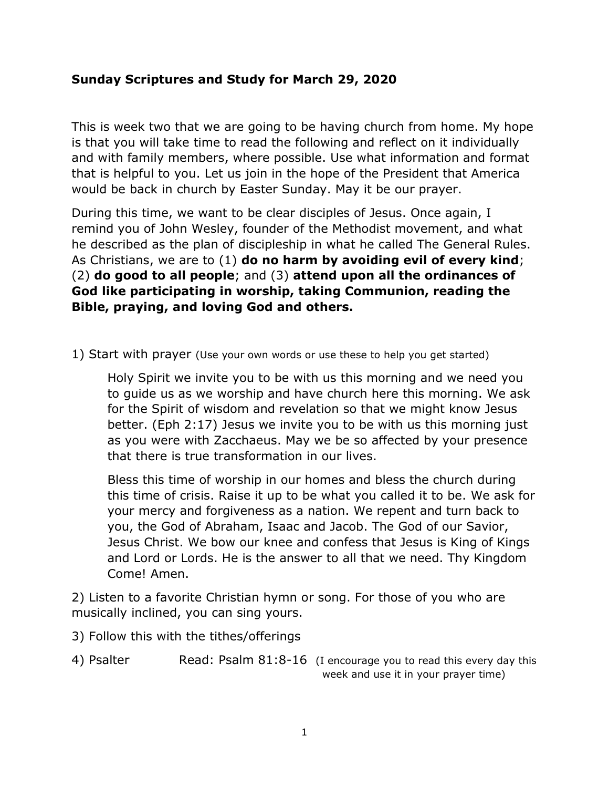# **Sunday Scriptures and Study for March 29, 2020**

This is week two that we are going to be having church from home. My hope is that you will take time to read the following and reflect on it individually and with family members, where possible. Use what information and format that is helpful to you. Let us join in the hope of the President that America would be back in church by Easter Sunday. May it be our prayer.

During this time, we want to be clear disciples of Jesus. Once again, I remind you of John Wesley, founder of the Methodist movement, and what he described as the plan of discipleship in what he called The General Rules. As Christians, we are to (1) **do no harm by avoiding evil of every kind**; (2) **do good to all people**; and (3) **attend upon all the ordinances of God like participating in worship, taking Communion, reading the Bible, praying, and loving God and others.**

1) Start with prayer (Use your own words or use these to help you get started)

Holy Spirit we invite you to be with us this morning and we need you to guide us as we worship and have church here this morning. We ask for the Spirit of wisdom and revelation so that we might know Jesus better. (Eph 2:17) Jesus we invite you to be with us this morning just as you were with Zacchaeus. May we be so affected by your presence that there is true transformation in our lives.

Bless this time of worship in our homes and bless the church during this time of crisis. Raise it up to be what you called it to be. We ask for your mercy and forgiveness as a nation. We repent and turn back to you, the God of Abraham, Isaac and Jacob. The God of our Savior, Jesus Christ. We bow our knee and confess that Jesus is King of Kings and Lord or Lords. He is the answer to all that we need. Thy Kingdom Come! Amen.

2) Listen to a favorite Christian hymn or song. For those of you who are musically inclined, you can sing yours.

3) Follow this with the tithes/offerings

4) Psalter Read: Psalm 81:8-16 (I encourage you to read this every day this week and use it in your prayer time)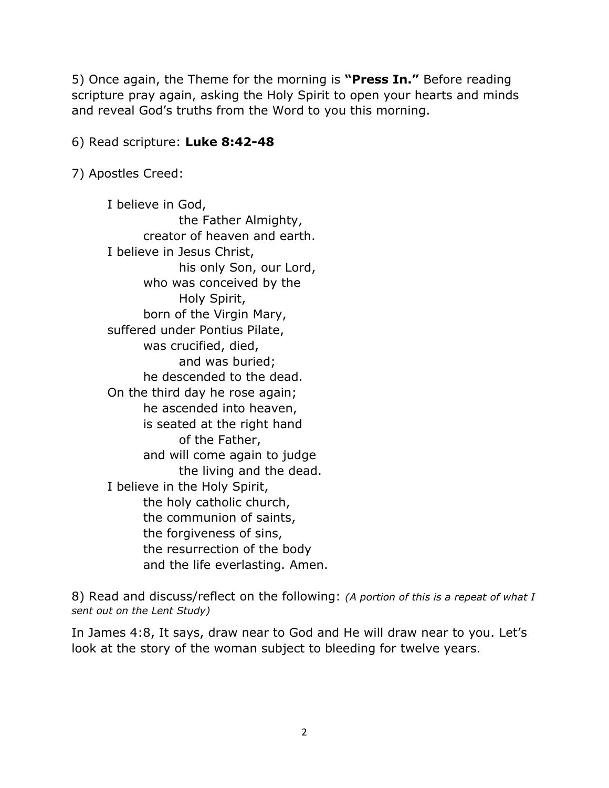5) Once again, the Theme for the morning is **"Press In."** Before reading scripture pray again, asking the Holy Spirit to open your hearts and minds and reveal God's truths from the Word to you this morning.

## 6) Read scripture: **Luke 8:42-48**

7) Apostles Creed:

I believe in God, the Father Almighty, creator of heaven and earth. I believe in Jesus Christ, his only Son, our Lord, who was conceived by the Holy Spirit, born of the Virgin Mary, suffered under Pontius Pilate, was crucified, died, and was buried; he descended to the dead. On the third day he rose again; he ascended into heaven, is seated at the right hand of the Father, and will come again to judge the living and the dead. I believe in the Holy Spirit, the holy catholic church, the communion of saints, the forgiveness of sins, the resurrection of the body and the life everlasting. Amen.

8) Read and discuss/reflect on the following: *(A portion of this is a repeat of what I sent out on the Lent Study)*

In James 4:8, It says, draw near to God and He will draw near to you. Let's look at the story of the woman subject to bleeding for twelve years.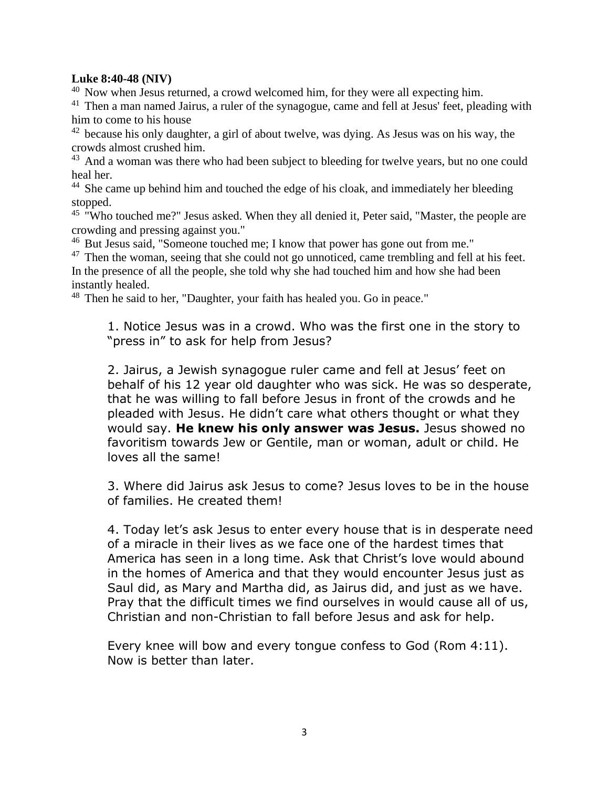#### **Luke 8:40-48 (NIV)**

 $40$  Now when Jesus returned, a crowd welcomed him, for they were all expecting him.

 $41$  Then a man named Jairus, a ruler of the synagogue, came and fell at Jesus' feet, pleading with him to come to his house

 $42$  because his only daughter, a girl of about twelve, was dying. As Jesus was on his way, the crowds almost crushed him.

<sup>43</sup> And a woman was there who had been subject to bleeding for twelve years, but no one could heal her.

<sup>44</sup> She came up behind him and touched the edge of his cloak, and immediately her bleeding stopped.

<sup>45</sup> "Who touched me?" Jesus asked. When they all denied it, Peter said, "Master, the people are crowding and pressing against you."

<sup>46</sup> But Jesus said, "Someone touched me; I know that power has gone out from me."

 $47$  Then the woman, seeing that she could not go unnoticed, came trembling and fell at his feet. In the presence of all the people, she told why she had touched him and how she had been instantly healed.

<sup>48</sup> Then he said to her, "Daughter, your faith has healed you. Go in peace."

1. Notice Jesus was in a crowd. Who was the first one in the story to "press in" to ask for help from Jesus?

2. Jairus, a Jewish synagogue ruler came and fell at Jesus' feet on behalf of his 12 year old daughter who was sick. He was so desperate, that he was willing to fall before Jesus in front of the crowds and he pleaded with Jesus. He didn't care what others thought or what they would say. **He knew his only answer was Jesus.** Jesus showed no favoritism towards Jew or Gentile, man or woman, adult or child. He loves all the same!

3. Where did Jairus ask Jesus to come? Jesus loves to be in the house of families. He created them!

4. Today let's ask Jesus to enter every house that is in desperate need of a miracle in their lives as we face one of the hardest times that America has seen in a long time. Ask that Christ's love would abound in the homes of America and that they would encounter Jesus just as Saul did, as Mary and Martha did, as Jairus did, and just as we have. Pray that the difficult times we find ourselves in would cause all of us, Christian and non-Christian to fall before Jesus and ask for help.

Every knee will bow and every tongue confess to God (Rom 4:11). Now is better than later.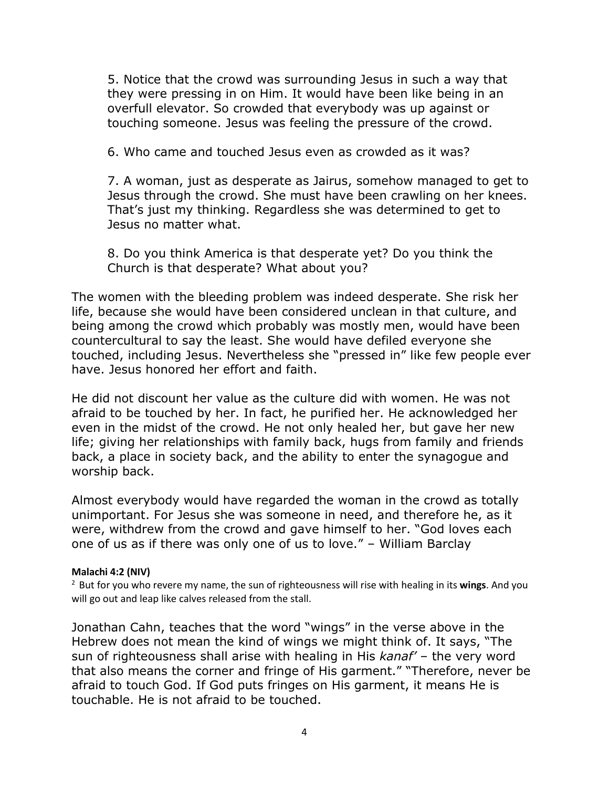5. Notice that the crowd was surrounding Jesus in such a way that they were pressing in on Him. It would have been like being in an overfull elevator. So crowded that everybody was up against or touching someone. Jesus was feeling the pressure of the crowd.

6. Who came and touched Jesus even as crowded as it was?

7. A woman, just as desperate as Jairus, somehow managed to get to Jesus through the crowd. She must have been crawling on her knees. That's just my thinking. Regardless she was determined to get to Jesus no matter what.

8. Do you think America is that desperate yet? Do you think the Church is that desperate? What about you?

The women with the bleeding problem was indeed desperate. She risk her life, because she would have been considered unclean in that culture, and being among the crowd which probably was mostly men, would have been countercultural to say the least. She would have defiled everyone she touched, including Jesus. Nevertheless she "pressed in" like few people ever have. Jesus honored her effort and faith.

He did not discount her value as the culture did with women. He was not afraid to be touched by her. In fact, he purified her. He acknowledged her even in the midst of the crowd. He not only healed her, but gave her new life; giving her relationships with family back, hugs from family and friends back, a place in society back, and the ability to enter the synagogue and worship back.

Almost everybody would have regarded the woman in the crowd as totally unimportant. For Jesus she was someone in need, and therefore he, as it were, withdrew from the crowd and gave himself to her. "God loves each one of us as if there was only one of us to love." – William Barclay

#### **Malachi 4:2 (NIV)**

<sup>2</sup> But for you who revere my name, the sun of righteousness will rise with healing in its wings. And you will go out and leap like calves released from the stall.

Jonathan Cahn, teaches that the word "wings" in the verse above in the Hebrew does not mean the kind of wings we might think of. It says, "The sun of righteousness shall arise with healing in His *kanaf'* – the very word that also means the corner and fringe of His garment." "Therefore, never be afraid to touch God. If God puts fringes on His garment, it means He is touchable. He is not afraid to be touched.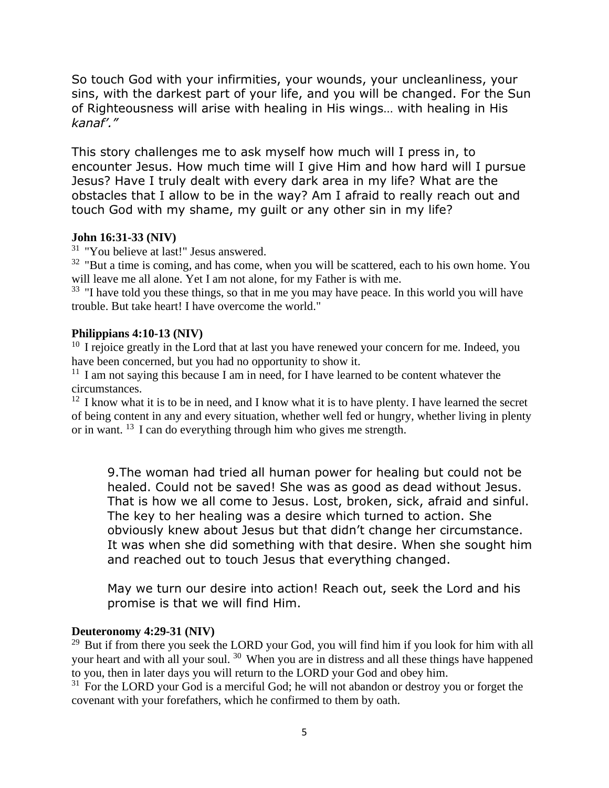So touch God with your infirmities, your wounds, your uncleanliness, your sins, with the darkest part of your life, and you will be changed. For the Sun of Righteousness will arise with healing in His wings… with healing in His *kanaf'."*

This story challenges me to ask myself how much will I press in, to encounter Jesus. How much time will I give Him and how hard will I pursue Jesus? Have I truly dealt with every dark area in my life? What are the obstacles that I allow to be in the way? Am I afraid to really reach out and touch God with my shame, my guilt or any other sin in my life?

### **John 16:31-33 (NIV)**

<sup>31</sup> "You believe at last!" Jesus answered.

 $32$  "But a time is coming, and has come, when you will be scattered, each to his own home. You will leave me all alone. Yet I am not alone, for my Father is with me.

 $33$  "I have told you these things, so that in me you may have peace. In this world you will have trouble. But take heart! I have overcome the world."

### **Philippians 4:10-13 (NIV)**

<sup>10</sup> I rejoice greatly in the Lord that at last you have renewed your concern for me. Indeed, you have been concerned, but you had no opportunity to show it.

 $11$  I am not saying this because I am in need, for I have learned to be content whatever the circumstances.

 $12$  I know what it is to be in need, and I know what it is to have plenty. I have learned the secret of being content in any and every situation, whether well fed or hungry, whether living in plenty or in want.  $^{13}$  I can do everything through him who gives me strength.

9.The woman had tried all human power for healing but could not be healed. Could not be saved! She was as good as dead without Jesus. That is how we all come to Jesus. Lost, broken, sick, afraid and sinful. The key to her healing was a desire which turned to action. She obviously knew about Jesus but that didn't change her circumstance. It was when she did something with that desire. When she sought him and reached out to touch Jesus that everything changed.

May we turn our desire into action! Reach out, seek the Lord and his promise is that we will find Him.

## **Deuteronomy 4:29-31 (NIV)**

 $29$  But if from there you seek the LORD your God, you will find him if you look for him with all your heart and with all your soul.  $30$  When you are in distress and all these things have happened to you, then in later days you will return to the LORD your God and obey him.

 $31$  For the LORD your God is a merciful God; he will not abandon or destroy you or forget the covenant with your forefathers, which he confirmed to them by oath.